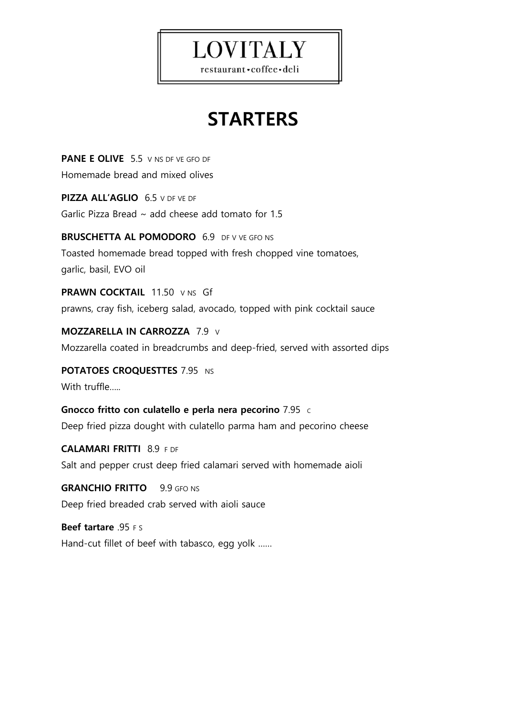# **LOVITALY**

restaurant · coffee · deli

## **STARTERS**

**PANE E OLIVE** 5.5 V NS DF VE GFO DF Homemade bread and mixed olives

**PIZZA ALL'AGLIO** 6.5 V DF VE DF Garlic Pizza Bread  $\sim$  add cheese add tomato for 1.5

**BRUSCHETTA AL POMODORO** 6.9 DF V VE GFO NS Toasted homemade bread topped with fresh chopped vine tomatoes, garlic, basil, EVO oil

**PRAWN COCKTAIL** 11.50 V NS Gf prawns, cray fish, iceberg salad, avocado, topped with pink cocktail sauce

**MOZZARELLA IN CARROZZA** 7.9 V Mozzarella coated in breadcrumbs and deep-fried, served with assorted dips

**POTATOES CROQUESTTES** 7.95 NS With truffle…..

**Gnocco fritto con culatello e perla nera pecorino** 7.95 <sup>C</sup> Deep fried pizza dought with culatello parma ham and pecorino cheese

**CALAMARI FRITTI** 8.9 F DF Salt and pepper crust deep fried calamari served with homemade aioli

**GRANCHIO FRITTO** 9.9 GFO NS Deep fried breaded crab served with aioli sauce

**Beef tartare** .95 F S Hand-cut fillet of beef with tabasco, egg yolk ……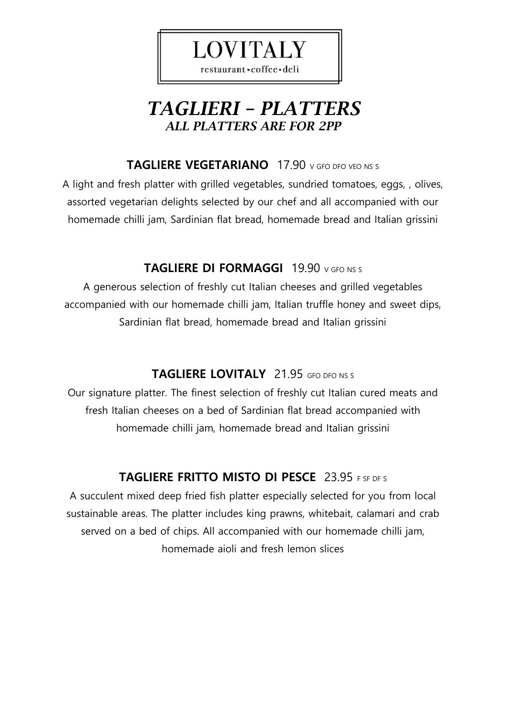

### *TAGLIERI – PLATTERS ALL PLATTERS ARE FOR 2PP*

#### **TAGLIERE VEGETARIANO** 17.90 V GFO DFO VEO NS S

A light and fresh platter with grilled vegetables, sundried tomatoes, eggs, , olives, assorted vegetarian delights selected by our chef and all accompanied with our homemade chilli jam, Sardinian flat bread, homemade bread and Italian grissini

#### **TAGLIERE DI FORMAGGI** 19.90 V GFO NS S

A generous selection of freshly cut Italian cheeses and grilled vegetables accompanied with our homemade chilli jam, Italian truffle honey and sweet dips, Sardinian flat bread, homemade bread and Italian grissini

#### **TAGLIERE LOVITALY** 21.95 GFO DFO NS S

Our signature platter. The finest selection of freshly cut Italian cured meats and fresh Italian cheeses on a bed of Sardinian flat bread accompanied with homemade chilli jam, homemade bread and Italian grissini

#### **TAGLIERE FRITTO MISTO DI PESCE** 23.95 F SF DF S

A succulent mixed deep fried fish platter especially selected for you from local sustainable areas. The platter includes king prawns, whitebait, calamari and crab served on a bed of chips. All accompanied with our homemade chilli jam, homemade aioli and fresh lemon slices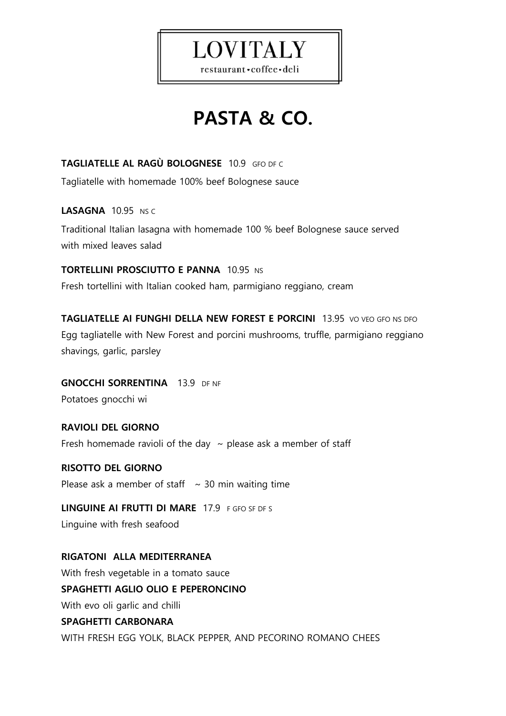

restaurant · coffee · deli

# **PASTA & CO.**

**TAGLIATELLE AL RAGÙ BOLOGNESE** 10.9 GFO DF C

Tagliatelle with homemade 100% beef Bolognese sauce

**LASAGNA** 10.95NS C

Traditional Italian lasagna with homemade 100 % beef Bolognese sauce served with mixed leaves salad

**TORTELLINI PROSCIUTTO E PANNA 10.95 NS** 

Fresh tortellini with Italian cooked ham, parmigiano reggiano, cream

**TAGLIATELLE AI FUNGHI DELLA NEW FOREST E PORCINI** 13.95 VO VEO GFO NS DFO Egg tagliatelle with New Forest and porcini mushrooms, truffle, parmigiano reggiano shavings, garlic, parsley

**GNOCCHI SORRENTINA** 13.9 DF NF Potatoes gnocchi wi

**RAVIOLI DEL GIORNO**  Fresh homemade ravioli of the day  $\sim$  please ask a member of staff

**RISOTTO DEL GIORNO** Please ask a member of staff  $\sim$  30 min waiting time

**LINGUINE AI FRUTTI DI MARE** 17.9 F GFO SF DF S Linguine with fresh seafood

**RIGATONI ALLA MEDITERRANEA** With fresh vegetable in a tomato sauce **SPAGHETTI AGLIO OLIO E PEPERONCINO** With evo oli garlic and chilli **SPAGHETTI CARBONARA** WITH FRESH EGG YOLK, BLACK PEPPER, AND PECORINO ROMANO CHEES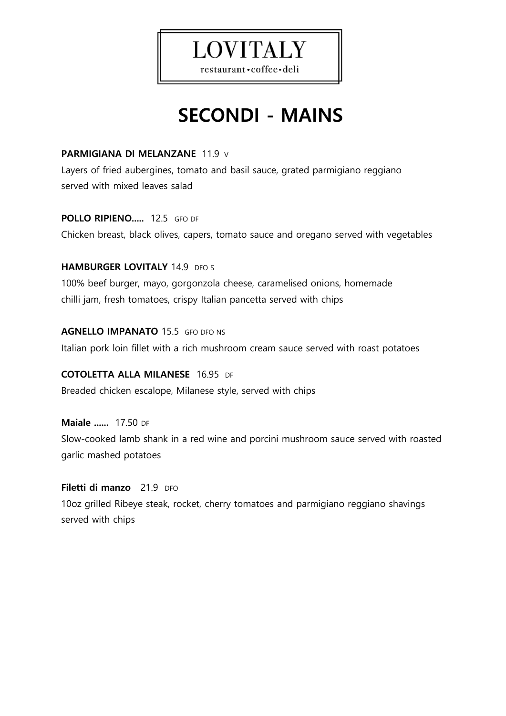

## **SECONDI - MAINS**

#### **PARMIGIANA DI MELANZANE** 11.9 V

Layers of fried aubergines, tomato and basil sauce, grated parmigiano reggiano served with mixed leaves salad

#### **POLLO RIPIENO.....** 12.5 GFO DF

Chicken breast, black olives, capers, tomato sauce and oregano served with vegetables

#### **HAMBURGER LOVITALY 14.9 DFO S**

100% beef burger, mayo, gorgonzola cheese, caramelised onions, homemade chilli jam, fresh tomatoes, crispy Italian pancetta served with chips

#### **AGNELLO IMPANATO** 15.5 GFO DFO NS

Italian pork loin fillet with a rich mushroom cream sauce served with roast potatoes

#### **COTOLETTA ALLA MILANESE** 16.95DF

Breaded chicken escalope, Milanese style, served with chips

#### **Maiale ......** 17.50 DF Slow-cooked lamb shank in a red wine and porcini mushroom sauce served with roasted garlic mashed potatoes

#### **Filetti di manzo** 21.9 DFO

10oz grilled Ribeye steak, rocket, cherry tomatoes and parmigiano reggiano shavings served with chips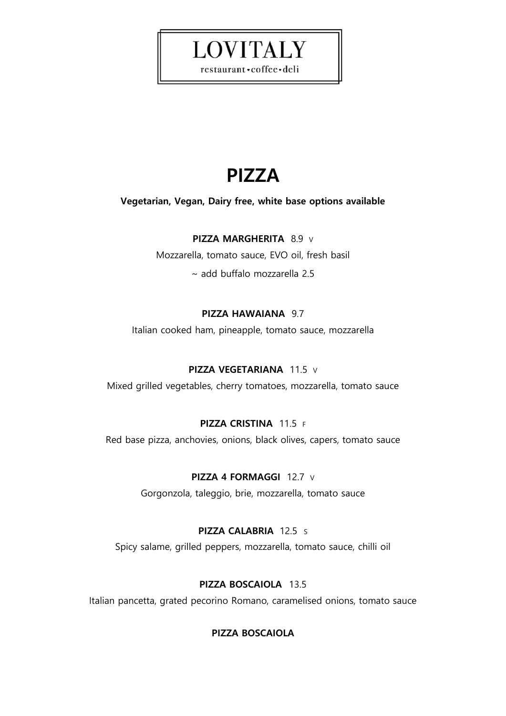## **PIZZA**

**LOVITALY** 

restaurant · coffee · deli

#### **Vegetarian, Vegan, Dairy free, white base options available**

#### **PIZZA MARGHERITA** 8.9 V

Mozzarella, tomato sauce, EVO oil, fresh basil

~ add buffalo mozzarella 2.5

#### **PIZZA HAWAIANA** 9.7

Italian cooked ham, pineapple, tomato sauce, mozzarella

#### **PIZZA VEGETARIANA** 11.5 V

Mixed grilled vegetables, cherry tomatoes, mozzarella, tomato sauce

#### **PIZZA CRISTINA** 11.5 F

Red base pizza, anchovies, onions, black olives, capers, tomato sauce

#### **PIZZA 4 FORMAGGI** 12.7 V

Gorgonzola, taleggio, brie, mozzarella, tomato sauce

#### **PIZZA CALABRIA** 12.5 S

Spicy salame, grilled peppers, mozzarella, tomato sauce, chilli oil

#### **PIZZA BOSCAIOLA** 13.5

Italian pancetta, grated pecorino Romano, caramelised onions, tomato sauce

#### **PIZZA BOSCAIOLA**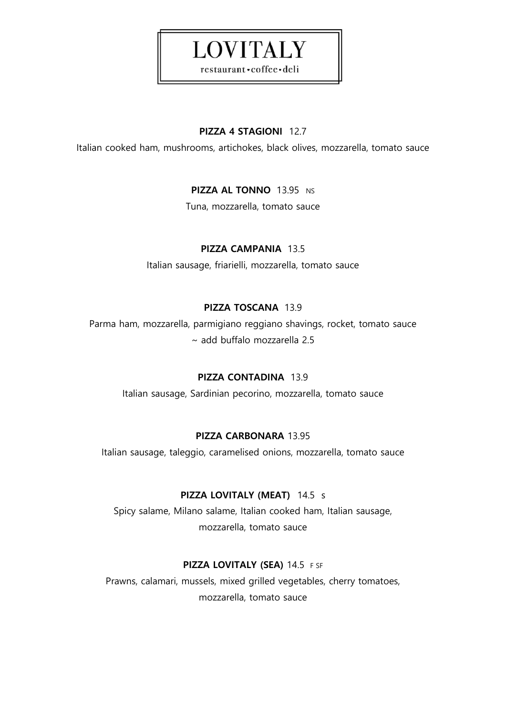#### **PIZZA 4 STAGIONI** 12.7

**LOVITALY** 

restaurant · coffee · deli

Italian cooked ham, mushrooms, artichokes, black olives, mozzarella, tomato sauce

#### **PIZZA AL TONNO 13.95 NS**

Tuna, mozzarella, tomato sauce

#### **PIZZA CAMPANIA** 13.5

Italian sausage, friarielli, mozzarella, tomato sauce

#### **PIZZA TOSCANA** 13.9

Parma ham, mozzarella, parmigiano reggiano shavings, rocket, tomato sauce ~ add buffalo mozzarella 2.5

#### **PIZZA CONTADINA** 13.9

Italian sausage, Sardinian pecorino, mozzarella, tomato sauce

#### **PIZZA CARBONARA** 13.95

Italian sausage, taleggio, caramelised onions, mozzarella, tomato sauce

#### **PIZZA LOVITALY (MEAT)** 14.5 s

Spicy salame, Milano salame, Italian cooked ham, Italian sausage, mozzarella, tomato sauce

#### **PIZZA LOVITALY (SEA)** 14.5 F SF

Prawns, calamari, mussels, mixed grilled vegetables, cherry tomatoes, mozzarella, tomato sauce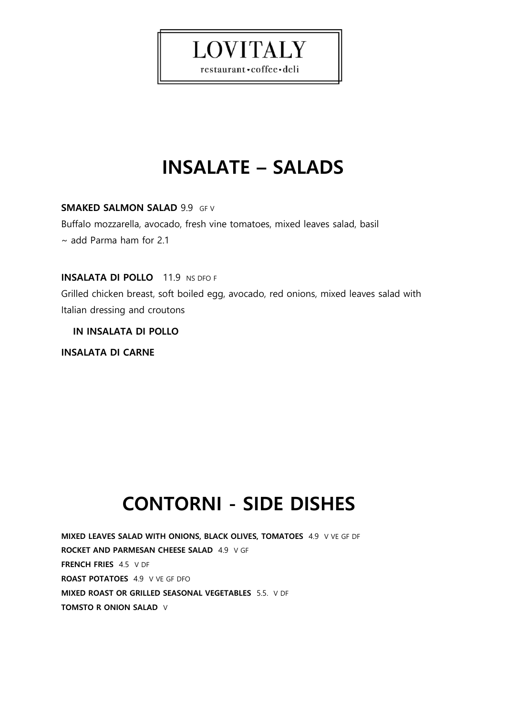# **INSALATE – SALADS**

**LOVITALY** 

restaurant · coffee · deli

**SMAKED SALMON SALAD** 9.9 GF V

Buffalo mozzarella, avocado, fresh vine tomatoes, mixed leaves salad, basil

~ add Parma ham for 2.1

**INSALATA DI POLLO** 11.9 NS DFO F Grilled chicken breast, soft boiled egg, avocado, red onions, mixed leaves salad with Italian dressing and croutons

 **IN INSALATA DI POLLO**

**INSALATA DI CARNE** 

## **CONTORNI - SIDE DISHES**

**MIXED LEAVES SALAD WITH ONIONS, BLACK OLIVES, TOMATOES** 4.9 V VE GF DF **ROCKET AND PARMESAN CHEESE SALAD** 4.9 V GF **FRENCH FRIES** 4.5 V DF **ROAST POTATOES** 4.9 V VE GF DFO **MIXED ROAST OR GRILLED SEASONAL VEGETABLES** 5.5. V DF **TOMSTO R ONION SALAD** V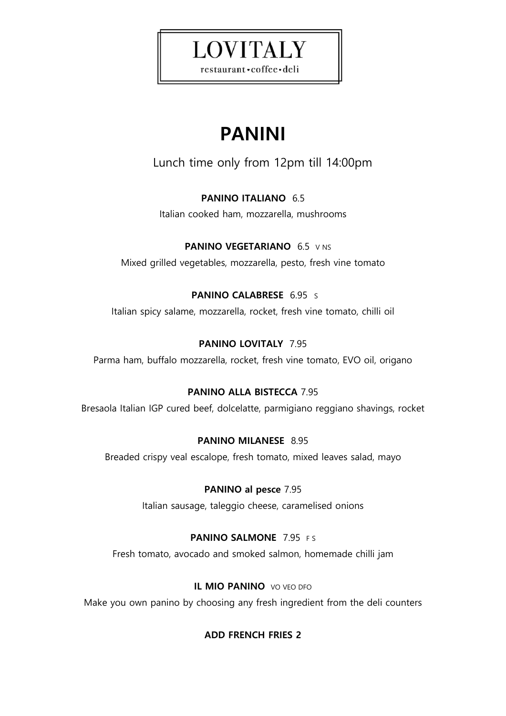# **LOVITALY**

restaurant · coffee · deli

# **PANINI**

Lunch time only from 12pm till 14:00pm

#### **PANINO ITALIANO** 6.5

Italian cooked ham, mozzarella, mushrooms

**PANINO VEGETARIANO** 6.5 V NS Mixed grilled vegetables, mozzarella, pesto, fresh vine tomato

**PANINO CALABRESE** 6.95 S

Italian spicy salame, mozzarella, rocket, fresh vine tomato, chilli oil

#### **PANINO LOVITALY** 7.95

Parma ham, buffalo mozzarella, rocket, fresh vine tomato, EVO oil, origano

#### **PANINO ALLA BISTECCA** 7.95

Bresaola Italian IGP cured beef, dolcelatte, parmigiano reggiano shavings, rocket

#### **PANINO MILANESE** 8.95

Breaded crispy veal escalope, fresh tomato, mixed leaves salad, mayo

#### **PANINO al pesce** 7.95

Italian sausage, taleggio cheese, caramelised onions

#### **PANINO SALMONE** 7.95 FS

Fresh tomato, avocado and smoked salmon, homemade chilli jam

#### **IL MIO PANINO** VO VEO DFO

Make you own panino by choosing any fresh ingredient from the deli counters

#### **ADD FRENCH FRIES 2**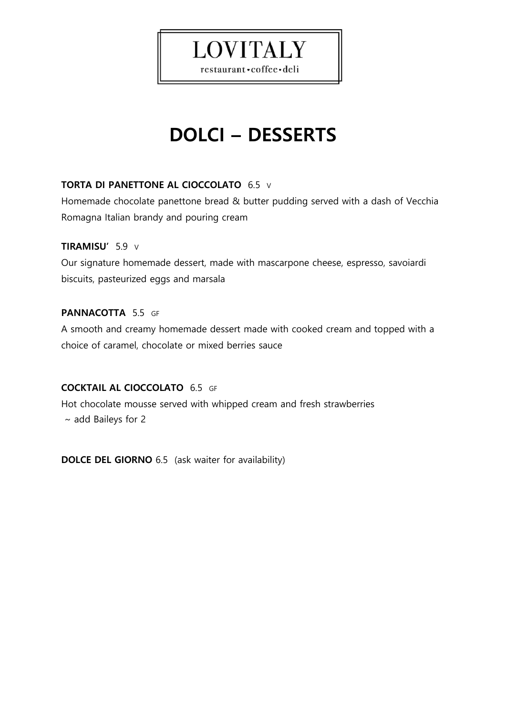# **LOVITALY**

restaurant · coffee · deli

# **DOLCI – DESSERTS**

#### **TORTA DI PANETTONE AL CIOCCOLATO** 6.5 V

Homemade chocolate panettone bread & butter pudding served with a dash of Vecchia Romagna Italian brandy and pouring cream

#### **TIRAMISU'** 5.9 V

Our signature homemade dessert, made with mascarpone cheese, espresso, savoiardi biscuits, pasteurized eggs and marsala

#### **PANNACOTTA** 5.5 GF

A smooth and creamy homemade dessert made with cooked cream and topped with a choice of caramel, chocolate or mixed berries sauce

#### **COCKTAIL AL CIOCCOLATO** 6.5 GF

Hot chocolate mousse served with whipped cream and fresh strawberries  $\sim$  add Baileys for 2

**DOLCE DEL GIORNO** 6.5 (ask waiter for availability)